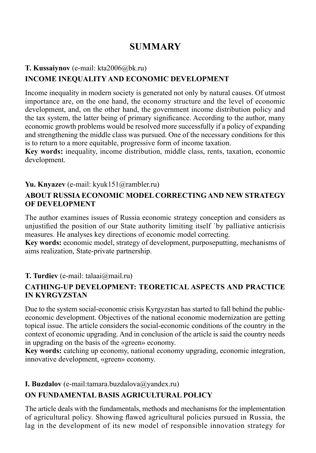# **SUMMARY**

# **T. Kussaiynov** (е-mail: kta2006@bk.ru)

# **Income inequality and economic development**

Income inequality in modern society is generated not only by natural causes. Of utmost importance are, on the one hand, the economy structure and the level of economic development, and, on the other hand, the government income distribution policy and the tax system, the latter being of primary significance. According to the author, many economic growth problems would be resolved more successfully if a policy of expanding and strengthening the middle class was pursued. One of the necessary conditions for this is to return to a more equitable, progressive form of income taxation.

**Key words:** inequality, income distribution, middle class, rents, taxation, economic development.

# **Yu. Knyazev** (e-mail: kyuk151@rambler.ru)

### **ABOUT RUSSIA ECONOMIC MODEL CORRECTING AND NEW STRATEGY OF DEVELOPMENT**

The author examines issues of Russia economic strategy conception and considers as unjustified the position of our State authority limiting itself `by palliative anticrisis measures. He analyses key directions of economic model correcting.

**Key words:** economic model, strategy of development, purposeputting, mechanisms of aims realization, State-private partnership.

# **T. Turdiev** (e-mail: talaai@mail.ru)

### **СATHING-UP DEVELOPMENT: TEORETICAL ASPECTS AND PRACTICE IN KYRGYZSTAN**

Due to the system social-economic crisis Kyrgyzstan has started to fall behind the publiceconomic development. Objectives of the national economic modernization are getting topical issue. The article considers the social-economic conditions of the country in the context of economic upgrading. And in conclusion of the article is said the country needs in upgrading on the basis of the «green» economy.

**Key words:** catching up economy, national economy upgrading, economic integration, innovative development, «green» economy.

# **I. Buzdalov** (e-mail:tamara.buzdalova@yandex.ru)

# **ON FUNDAMENTAL BASIS AGRICULTURAL POLICY**

The article deals with the fundamentals, methods and mechanisms for the implementation of agricultural policy. Showing flawed agricultural policies pursued in Russia, the lag in the development of its new model of responsible innovation strategy for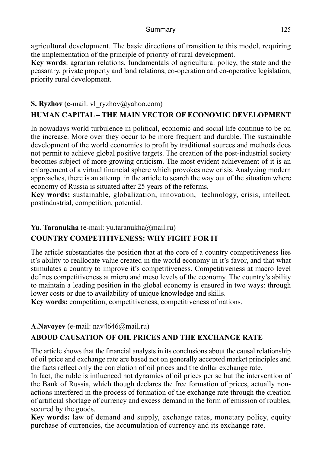agricultural development. The basic directions of transition to this model, requiring the implementation of the principle of priority of rural development.

**Key words**: agrarian relations, fundamentals of agricultural policy, the state and the peasantry, private property and land relations, co-operation and co-operative legislation, priority rural development.

#### **S. Ryzhov** (e-mail: vl\_ryzhov@yahoo.com)

# **HUMAN CAPITAL – THE MAIN VECTOR OF ECONOMIC DEVELOPMENT**

In nowadays world turbulence in political, economic and social life continue to be on the increase. More over they occur to be more frequent and durable. The sustainable development of the world economies to profit by traditional sources and methods does not permit to achieve global positive targets. The creation of the post-industrial society becomes subject of more growing criticism. The most evident achievement of it is an enlargement of a virtual financial sphere which provokes new crisis. Analyzing modern approaches, there is an attempt in the article to search the way out of the situation where economy of Russia is situated after 25 years of the reforms,

**Key words:** sustainable, globalization, innovation, technology, crisis, intellect, postindustrial, competition, potential.

#### **Yu. Taranukha** (е-mail: yu.taranukha@mail.ru)

### **COUNTRY COMPETITIVENESS: WHY FIGHT FOR IT**

The article substantiates the position that at the core of a country competitiveness lies it's ability to reallocate value created in the world economy in it's favor, and that what stimulates a country to improve it's competitiveness. Competitiveness at macro level defines competitiveness at micro and meso levels of the economy. The country's ability to maintain a leading position in the global economy is ensured in two ways: through lower costs or due to availability of unique knowledge and skills.

**Key words:** competition, competitiveness, competitiveness of nations.

#### **А.Navoyev** (е-mail: nav4646@mail.ru)

### **ABOUD CAUSATION OF OIL PRICES AND THE EXCHANGE RATE**

The article shows that the financial analysts in its conclusions about the causal relationship of oil price and exchange rate are based not on generally accepted market principles and the facts reflect only the correlation of oil prices and the dollar exchange rate.

In fact, the ruble is influenced not dynamics of oil prices per se but the intervention of the Bank of Russia, which though declares the free formation of prices, actually nonactions interfered in the process of formation of the exchange rate through the creation of artificial shortage of currency and excess demand in the form of emission of roubles, secured by the goods.

**Key words:** law of demand and supply, exchange rates, monetary policy, equity purchase of currencies, the accumulation of currency and its exchange rate.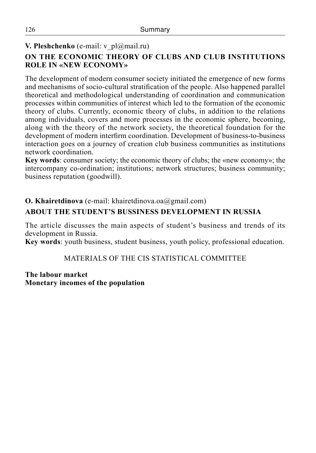# **V. Pleshchenko** (e-mail: v\_pl@mail.ru)

# **On the economic theory of clubs and CLUB INSTITUTIONS ROLE in «NEW ECONOMY»**

The development of modern consumer society initiated the emergence of new forms and mechanisms of socio-cultural stratification of the people. Also happened parallel theoretical and methodological understanding of coordination and communication processes within communities of interest which led to the formation of the economic theory of clubs. Currently, economic theory of clubs, in addition to the relations among individuals, covers and more processes in the economic sphere, becoming, along with the theory of the network society, the theoretical foundation for the development of modern interfirm coordination. Development of business-to-business interaction goes on a journey of creation club business communities as institutions network coordination.

**Key words**: consumer society; the economic theory of clubs; the «new economy»; the intercompany co-ordination; institutions; network structures; business community; business reputation (goodwill).

# **O. Khairetdinova** (e-mail: khairetdinova.oa@gmail.com)

# **ABOUT THE STUDENT'S BUSSINESS DEVELOPMENT IN RUSSIA**

The article discusses the main aspects of student's business and trends of its development in Russia.

**Key words**: youth business, student business, youth policy, professional education.

#### MATERIALS OF THE CIS STATISTICAL COMMITTEE

**The labour market Monetary incomes of the population**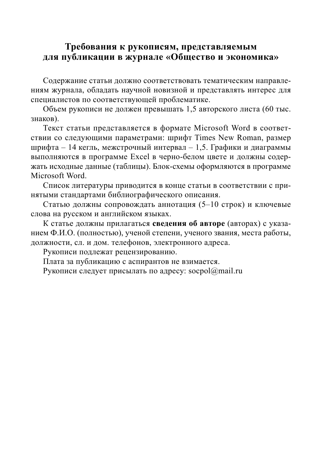# **Требования к рукописям, представляемым для публикации в журнале «Общество и экономика»**

Содержание статьи должно соответствовать тематическим направлениям журнала, обладать научной новизной и представлять интерес для специалистов по соответствующей проблематике.

Объем рукописи не должен превышать 1,5 авторского листа (60 тыс. знаков).

Текст статьи представляется в формате Microsoft Word в соответствии со следующими параметрами: шрифт Times New Roman, размер шрифта – 14 кегль, межстрочный интервал – 1,5. Графики и диаграммы выполняются в программе Excel в черно-белом цвете и должны содержать исходные данные (таблицы). Блок-схемы оформляются в программе Microsoft Word.

Список литературы приводится в конце статьи в соответствии с принятыми стандартами библиографического описания.

Статью должны сопровождать аннотация (5–10 строк) и ключевые слова на русском и английском языках.

К статье должны прилагаться **сведения об авторе** (авторах) с указанием Ф.И.О. (полностью), ученой степени, ученого звания, места работы, должности, сл. и дом. телефонов, электронного адреса.

Рукописи подлежат рецензированию.

Плата за публикацию с аспирантов не взимается.

Рукописи следует присылать по адресу: socpol $@$ mail.ru